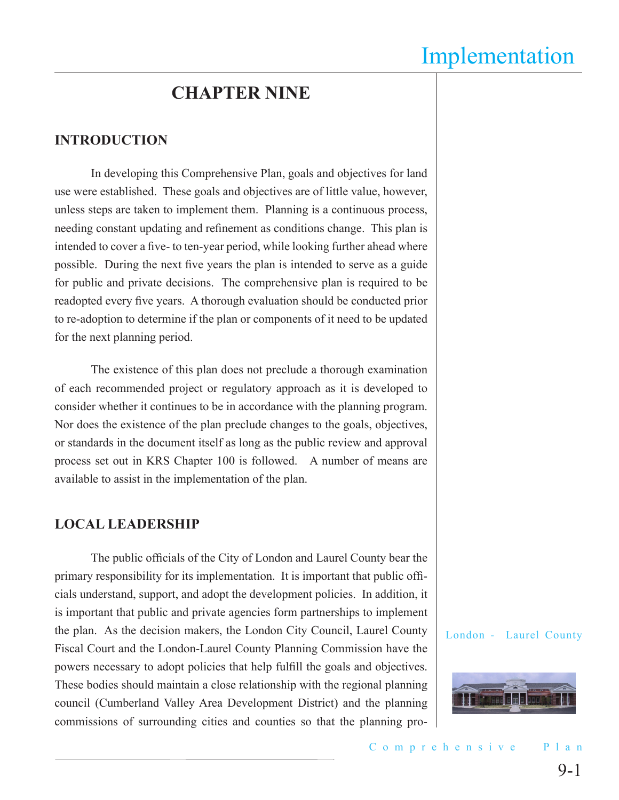## **CHAPTER NINE**

#### **INTRODUCTION**

In developing this Comprehensive Plan, goals and objectives for land use were established. These goals and objectives are of little value, however, unless steps are taken to implement them. Planning is a continuous process, needing constant updating and refinement as conditions change. This plan is intended to cover a five- to ten-year period, while looking further ahead where possible. During the next five years the plan is intended to serve as a guide for public and private decisions. The comprehensive plan is required to be readopted every five years. A thorough evaluation should be conducted prior to re-adoption to determine if the plan or components of it need to be updated for the next planning period.

The existence of this plan does not preclude a thorough examination of each recommended project or regulatory approach as it is developed to consider whether it continues to be in accordance with the planning program. Nor does the existence of the plan preclude changes to the goals, objectives, or standards in the document itself as long as the public review and approval process set out in KRS Chapter 100 is followed. A number of means are available to assist in the implementation of the plan.

#### **LOCAL LEADERSHIP**

The public officials of the City of London and Laurel County bear the primary responsibility for its implementation. It is important that public officials understand, support, and adopt the development policies. In addition, it is important that public and private agencies form partnerships to implement the plan. As the decision makers, the London City Council, Laurel County Fiscal Court and the London-Laurel County Planning Commission have the powers necessary to adopt policies that help fulfill the goals and objectives. These bodies should maintain a close relationship with the regional planning council (Cumberland Valley Area Development District) and the planning commissions of surrounding cities and counties so that the planning pro-

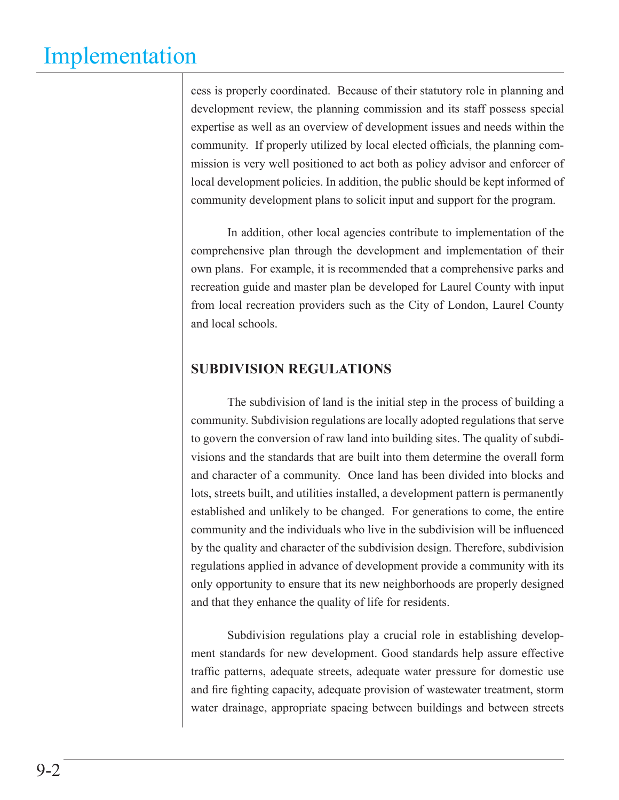cess is properly coordinated. Because of their statutory role in planning and development review, the planning commission and its staff possess special expertise as well as an overview of development issues and needs within the community. If properly utilized by local elected officials, the planning commission is very well positioned to act both as policy advisor and enforcer of local development policies. In addition, the public should be kept informed of community development plans to solicit input and support for the program.

In addition, other local agencies contribute to implementation of the comprehensive plan through the development and implementation of their own plans. For example, it is recommended that a comprehensive parks and recreation guide and master plan be developed for Laurel County with input from local recreation providers such as the City of London, Laurel County and local schools.

## **SUBDIVISION REGULATIONS**

The subdivision of land is the initial step in the process of building a community. Subdivision regulations are locally adopted regulations that serve to govern the conversion of raw land into building sites. The quality of subdivisions and the standards that are built into them determine the overall form and character of a community. Once land has been divided into blocks and lots, streets built, and utilities installed, a development pattern is permanently established and unlikely to be changed. For generations to come, the entire community and the individuals who live in the subdivision will be influenced by the quality and character of the subdivision design. Therefore, subdivision regulations applied in advance of development provide a community with its only opportunity to ensure that its new neighborhoods are properly designed and that they enhance the quality of life for residents.

Subdivision regulations play a crucial role in establishing development standards for new development. Good standards help assure effective traffic patterns, adequate streets, adequate water pressure for domestic use and fire fighting capacity, adequate provision of wastewater treatment, storm water drainage, appropriate spacing between buildings and between streets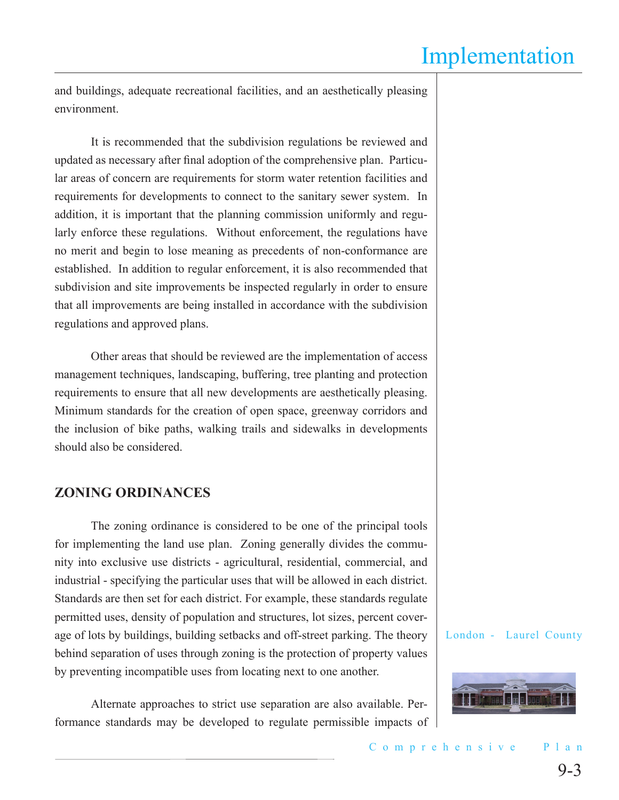and buildings, adequate recreational facilities, and an aesthetically pleasing environment.

It is recommended that the subdivision regulations be reviewed and updated as necessary after final adoption of the comprehensive plan. Particular areas of concern are requirements for storm water retention facilities and requirements for developments to connect to the sanitary sewer system. In addition, it is important that the planning commission uniformly and regularly enforce these regulations. Without enforcement, the regulations have no merit and begin to lose meaning as precedents of non-conformance are established. In addition to regular enforcement, it is also recommended that subdivision and site improvements be inspected regularly in order to ensure that all improvements are being installed in accordance with the subdivision regulations and approved plans.

Other areas that should be reviewed are the implementation of access management techniques, landscaping, buffering, tree planting and protection requirements to ensure that all new developments are aesthetically pleasing. Minimum standards for the creation of open space, greenway corridors and the inclusion of bike paths, walking trails and sidewalks in developments should also be considered.

## **ZONING ORDINANCES**

The zoning ordinance is considered to be one of the principal tools for implementing the land use plan. Zoning generally divides the community into exclusive use districts - agricultural, residential, commercial, and industrial - specifying the particular uses that will be allowed in each district. Standards are then set for each district. For example, these standards regulate permitted uses, density of population and structures, lot sizes, percent coverage of lots by buildings, building setbacks and off-street parking. The theory behind separation of uses through zoning is the protection of property values by preventing incompatible uses from locating next to one another.

Alternate approaches to strict use separation are also available. Performance standards may be developed to regulate permissible impacts of

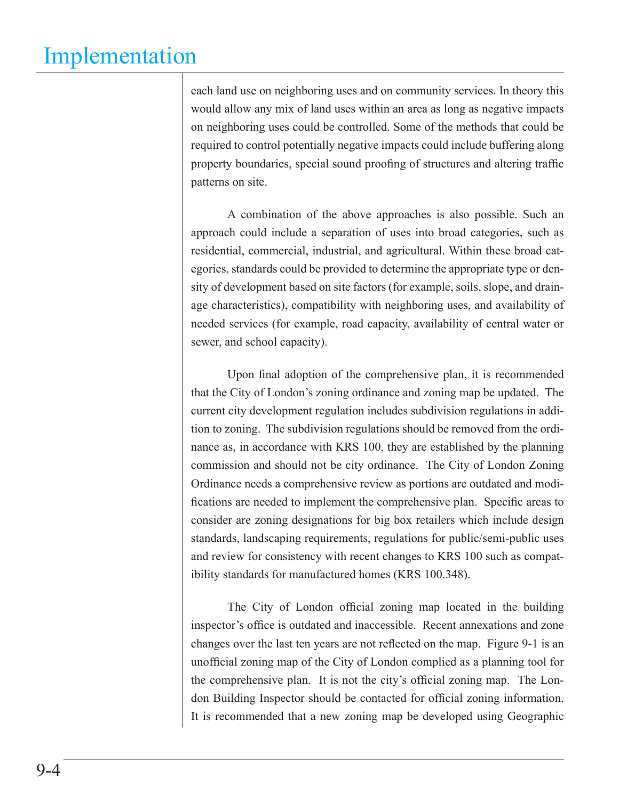each land use on neighboring uses and on community services. In theory this would allow any mix of land uses within an area as long as negative impacts on neighboring uses could be controlled. Some of the methods that could be required to control potentially negative impacts could include buffering along property boundaries, special sound proofing of structures and altering traffic patterns on site.

A combination of the above approaches is also possible. Such an approach could include a separation of uses into broad categories, such as residential, commercial, industrial, and agricultural. Within these broad categories, standards could be provided to determine the appropriate type or density of development based on site factors (for example, soils, slope, and drainage characteristics), compatibility with neighboring uses, and availability of needed services (for example, road capacity, availability of central water or sewer, and school capacity).

Upon final adoption of the comprehensive plan, it is recommended that the City of London's zoning ordinance and zoning map be updated. The current city development regulation includes subdivision regulations in addition to zoning. The subdivision regulations should be removed from the ordinance as, in accordance with KRS 100, they are established by the planning commission and should not be city ordinance. The City of London Zoning Ordinance needs a comprehensive review as portions are outdated and modifications are needed to implement the comprehensive plan. Specific areas to consider are zoning designations for big box retailers which include design standards, landscaping requirements, regulations for public/semi-public uses and review for consistency with recent changes to KRS 100 such as compatibility standards for manufactured homes (KRS 100.348).

The City of London official zoning map located in the building inspector's office is outdated and inaccessible. Recent annexations and zone changes over the last ten years are not reflected on the map. Figure 9-1 is an unofficial zoning map of the City of London complied as a planning tool for the comprehensive plan. It is not the city's official zoning map. The London Building Inspector should be contacted for official zoning information. It is recommended that a new zoning map be developed using Geographic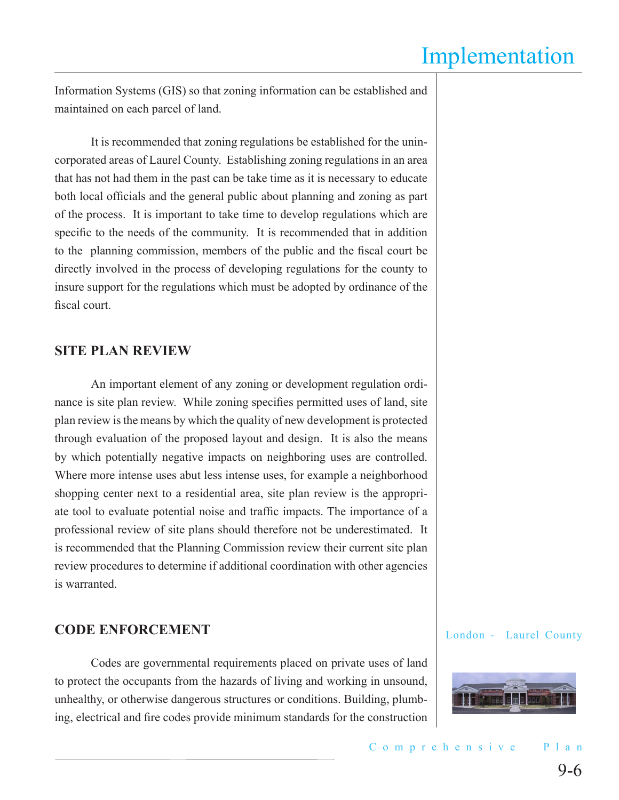Information Systems (GIS) so that zoning information can be established and maintained on each parcel of land.

It is recommended that zoning regulations be established for the unincorporated areas of Laurel County. Establishing zoning regulations in an area that has not had them in the past can be take time as it is necessary to educate both local officials and the general public about planning and zoning as part of the process. It is important to take time to develop regulations which are specific to the needs of the community. It is recommended that in addition to the planning commission, members of the public and the fiscal court be directly involved in the process of developing regulations for the county to insure support for the regulations which must be adopted by ordinance of the fiscal court.

## **SITE PLAN REVIEW**

An important element of any zoning or development regulation ordinance is site plan review. While zoning specifies permitted uses of land, site plan review is the means by which the quality of new development is protected through evaluation of the proposed layout and design. It is also the means by which potentially negative impacts on neighboring uses are controlled. Where more intense uses abut less intense uses, for example a neighborhood shopping center next to a residential area, site plan review is the appropriate tool to evaluate potential noise and traffic impacts. The importance of a professional review of site plans should therefore not be underestimated. It is recommended that the Planning Commission review their current site plan review procedures to determine if additional coordination with other agencies is warranted.

## **CODE ENFORCEMENT**

Codes are governmental requirements placed on private uses of land to protect the occupants from the hazards of living and working in unsound, unhealthy, or otherwise dangerous structures or conditions. Building, plumbing, electrical and fire codes provide minimum standards for the construction

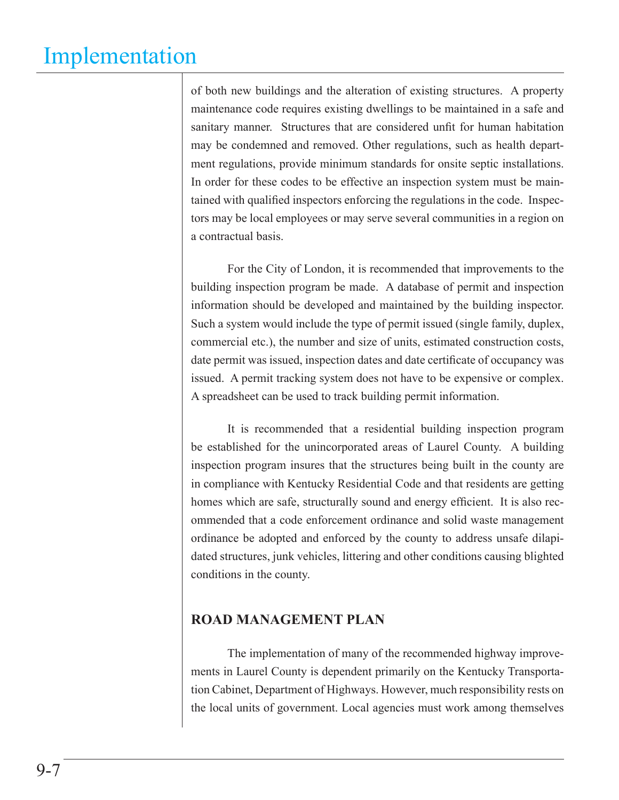of both new buildings and the alteration of existing structures. A property maintenance code requires existing dwellings to be maintained in a safe and sanitary manner. Structures that are considered unfit for human habitation may be condemned and removed. Other regulations, such as health department regulations, provide minimum standards for onsite septic installations. In order for these codes to be effective an inspection system must be maintained with qualified inspectors enforcing the regulations in the code. Inspectors may be local employees or may serve several communities in a region on a contractual basis.

For the City of London, it is recommended that improvements to the building inspection program be made. A database of permit and inspection information should be developed and maintained by the building inspector. Such a system would include the type of permit issued (single family, duplex, commercial etc.), the number and size of units, estimated construction costs, date permit was issued, inspection dates and date certificate of occupancy was issued. A permit tracking system does not have to be expensive or complex. A spreadsheet can be used to track building permit information.

It is recommended that a residential building inspection program be established for the unincorporated areas of Laurel County. A building inspection program insures that the structures being built in the county are in compliance with Kentucky Residential Code and that residents are getting homes which are safe, structurally sound and energy efficient. It is also recommended that a code enforcement ordinance and solid waste management ordinance be adopted and enforced by the county to address unsafe dilapidated structures, junk vehicles, littering and other conditions causing blighted conditions in the county.

### **ROAD MANAGEMENT PLAN**

The implementation of many of the recommended highway improvements in Laurel County is dependent primarily on the Kentucky Transportation Cabinet, Department of Highways. However, much responsibility rests on the local units of government. Local agencies must work among themselves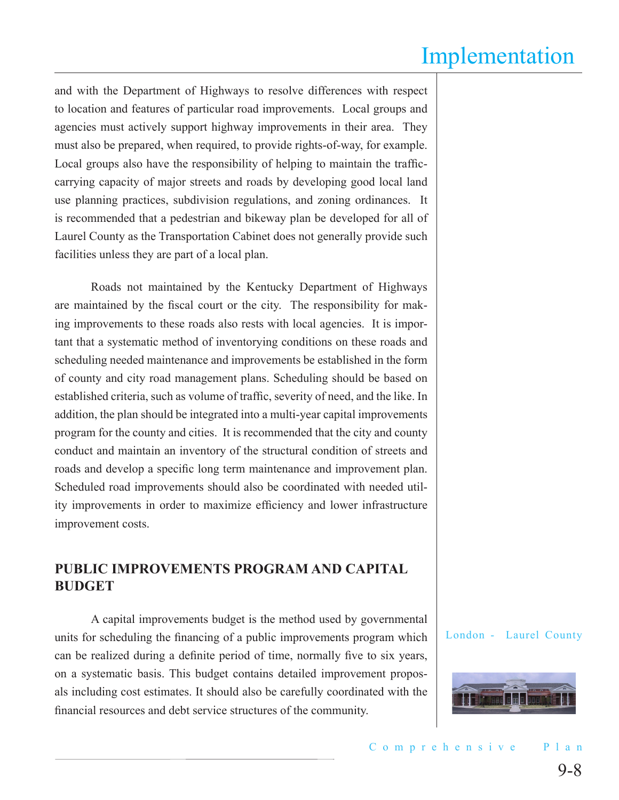and with the Department of Highways to resolve differences with respect to location and features of particular road improvements. Local groups and agencies must actively support highway improvements in their area. They must also be prepared, when required, to provide rights-of-way, for example. Local groups also have the responsibility of helping to maintain the trafficcarrying capacity of major streets and roads by developing good local land use planning practices, subdivision regulations, and zoning ordinances. It is recommended that a pedestrian and bikeway plan be developed for all of Laurel County as the Transportation Cabinet does not generally provide such facilities unless they are part of a local plan.

Roads not maintained by the Kentucky Department of Highways are maintained by the fiscal court or the city. The responsibility for making improvements to these roads also rests with local agencies. It is important that a systematic method of inventorying conditions on these roads and scheduling needed maintenance and improvements be established in the form of county and city road management plans. Scheduling should be based on established criteria, such as volume of traffic, severity of need, and the like. In addition, the plan should be integrated into a multi-year capital improvements program for the county and cities. It is recommended that the city and county conduct and maintain an inventory of the structural condition of streets and roads and develop a specific long term maintenance and improvement plan. Scheduled road improvements should also be coordinated with needed utility improvements in order to maximize efficiency and lower infrastructure improvement costs.

### **PUBLIC IMPROVEMENTS PROGRAM AND CAPITAL BUDGET**

A capital improvements budget is the method used by governmental units for scheduling the financing of a public improvements program which can be realized during a definite period of time, normally five to six years, on a systematic basis. This budget contains detailed improvement proposals including cost estimates. It should also be carefully coordinated with the financial resources and debt service structures of the community.

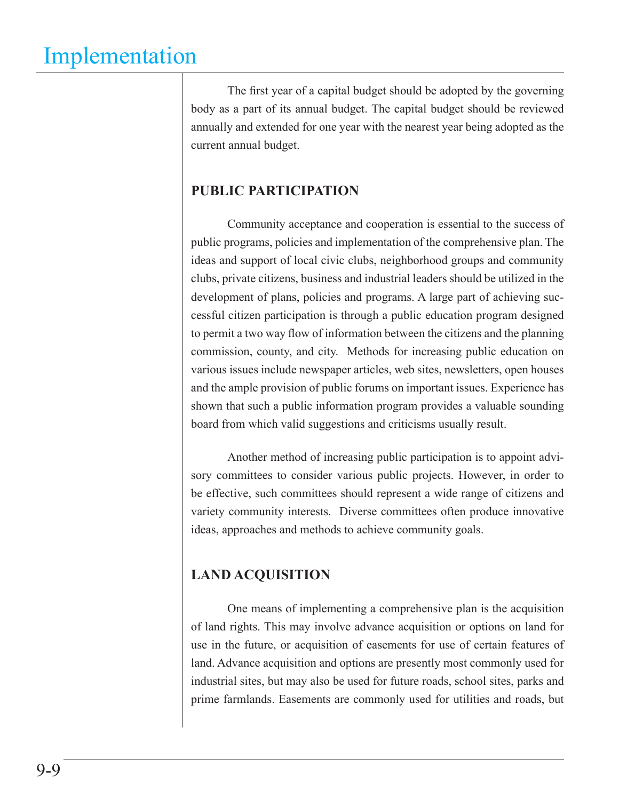The first year of a capital budget should be adopted by the governing body as a part of its annual budget. The capital budget should be reviewed annually and extended for one year with the nearest year being adopted as the current annual budget.

## **PUBLIC PARTICIPATION**

Community acceptance and cooperation is essential to the success of public programs, policies and implementation of the comprehensive plan. The ideas and support of local civic clubs, neighborhood groups and community clubs, private citizens, business and industrial leaders should be utilized in the development of plans, policies and programs. A large part of achieving successful citizen participation is through a public education program designed to permit a two way flow of information between the citizens and the planning commission, county, and city. Methods for increasing public education on various issues include newspaper articles, web sites, newsletters, open houses and the ample provision of public forums on important issues. Experience has shown that such a public information program provides a valuable sounding board from which valid suggestions and criticisms usually result.

Another method of increasing public participation is to appoint advisory committees to consider various public projects. However, in order to be effective, such committees should represent a wide range of citizens and variety community interests. Diverse committees often produce innovative ideas, approaches and methods to achieve community goals.

### **LAND ACQUISITION**

One means of implementing a comprehensive plan is the acquisition of land rights. This may involve advance acquisition or options on land for use in the future, or acquisition of easements for use of certain features of land. Advance acquisition and options are presently most commonly used for industrial sites, but may also be used for future roads, school sites, parks and prime farmlands. Easements are commonly used for utilities and roads, but